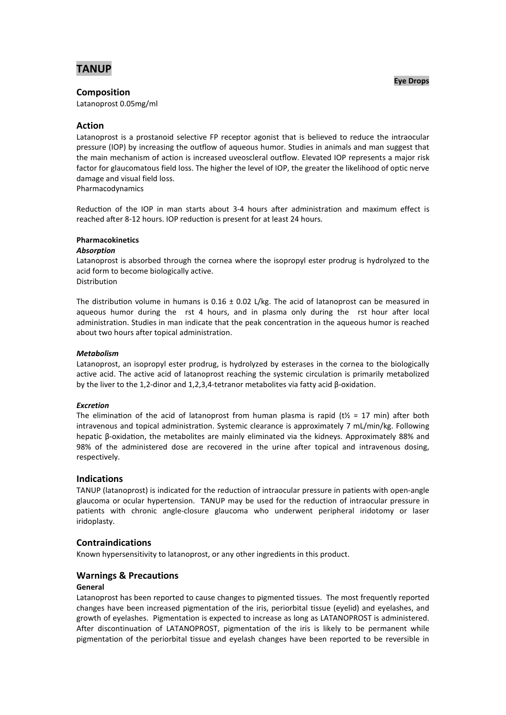

## **Eye Drops**

**Composition**

Latanoprost 0.05mg/ml

# **Action**

Latanoprost is a prostanoid selective FP receptor agonist that is believed to reduce the intraocular pressure (IOP) by increasing the outflow of aqueous humor. Studies in animals and man suggest that the main mechanism of action is increased uveoscleral outflow. Elevated IOP represents a major risk factor for glaucomatous field loss. The higher the level of IOP, the greater the likelihood of optic nerve damage and visual field loss.

Pharmacodynamics

Reduction of the IOP in man starts about 3-4 hours after administration and maximum effect is reached after 8-12 hours. IOP reduction is present for at least 24 hours.

# **Pharmacokinetics**

## *Absorption*

Latanoprost is absorbed through the cornea where the isopropyl ester prodrug is hydrolyzed to the acid form to become biologically active. Distribution

The distribution volume in humans is 0.16  $\pm$  0.02 L/kg. The acid of latanoprost can be measured in aqueous humor during the rst 4 hours, and in plasma only during the rst hour after local administration. Studies in man indicate that the peak concentration in the aqueous humor is reached about two hours after topical administration.

# *Metabolism*

Latanoprost, an isopropyl ester prodrug, is hydrolyzed by esterases in the cornea to the biologically active acid. The active acid of latanoprost reaching the systemic circulation is primarily metabolized by the liver to the 1,2-dinor and 1,2,3,4-tetranor metabolites via fatty acid β-oxidation.

# *Excretion*

The elimination of the acid of latanoprost from human plasma is rapid (t $\frac{1}{2}$  = 17 min) after both intravenous and topical administration. Systemic clearance is approximately 7 mL/min/kg. Following hepatic β-oxidation, the metabolites are mainly eliminated via the kidneys. Approximately 88% and 98% of the administered dose are recovered in the urine after topical and intravenous dosing, respectively.

# **Indications**

TANUP (latanoprost) is indicated for the reduction of intraocular pressure in patients with open-angle glaucoma or ocular hypertension. TANUP may be used for the reduction of intraocular pressure in patients with chronic angle-closure glaucoma who underwent peripheral iridotomy or laser iridoplasty.

# **Contraindications**

Known hypersensitivity to latanoprost, or any other ingredients in this product.

# **Warnings & Precautions**

### **General**

Latanoprost has been reported to cause changes to pigmented tissues. The most frequently reported changes have been increased pigmentation of the iris, periorbital tissue (eyelid) and eyelashes, and growth of eyelashes. Pigmentation is expected to increase as long as LATANOPROST is administered. After discontinuation of LATANOPROST, pigmentation of the iris is likely to be permanent while pigmentation of the periorbital tissue and eyelash changes have been reported to be reversible in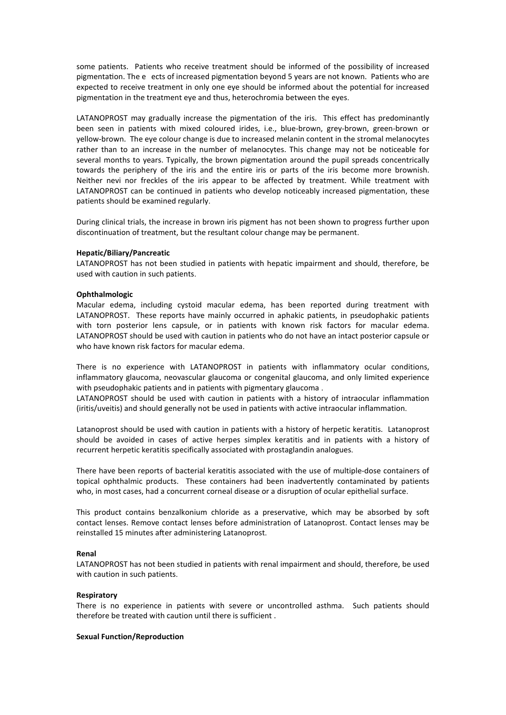some patients. Patients who receive treatment should be informed of the possibility of increased pigmentation. The e ects of increased pigmentation beyond 5 years are not known. Patients who are expected to receive treatment in only one eye should be informed about the potential for increased pigmentation in the treatment eye and thus, heterochromia between the eyes.

LATANOPROST may gradually increase the pigmentation of the iris. This effect has predominantly been seen in patients with mixed coloured irides, i.e., blue-brown, grey-brown, green-brown or yellow-brown. The eye colour change is due to increased melanin content in the stromal melanocytes rather than to an increase in the number of melanocytes. This change may not be noticeable for several months to years. Typically, the brown pigmentation around the pupil spreads concentrically towards the periphery of the iris and the entire iris or parts of the iris become more brownish. Neither nevi nor freckles of the iris appear to be affected by treatment. While treatment with LATANOPROST can be continued in patients who develop noticeably increased pigmentation, these patients should be examined regularly.

During clinical trials, the increase in brown iris pigment has not been shown to progress further upon discontinuation of treatment, but the resultant colour change may be permanent.

#### **Hepatic/Biliary/Pancreatic**

LATANOPROST has not been studied in patients with hepatic impairment and should, therefore, be used with caution in such patients.

#### **Ophthalmologic**

Macular edema, including cystoid macular edema, has been reported during treatment with LATANOPROST. These reports have mainly occurred in aphakic patients, in pseudophakic patients with torn posterior lens capsule, or in patients with known risk factors for macular edema. LATANOPROST should be used with caution in patients who do not have an intact posterior capsule or who have known risk factors for macular edema

There is no experience with LATANOPROST in patients with inflammatory ocular conditions, inflammatory glaucoma, neovascular glaucoma or congenital glaucoma, and only limited experience with pseudophakic patients and in patients with pigmentary glaucoma .

LATANOPROST should be used with caution in patients with a history of intraocular inflammation (iritis/uveitis) and should generally not be used in patients with active intraocular inflammation.

Latanoprost should be used with caution in patients with a history of herpetic keratitis. Latanoprost should be avoided in cases of active herpes simplex keratitis and in patients with a history of recurrent herpetic keratitis specifically associated with prostaglandin analogues.

There have been reports of bacterial keratitis associated with the use of multiple-dose containers of topical ophthalmic products. These containers had been inadvertently contaminated by patients who, in most cases, had a concurrent corneal disease or a disruption of ocular epithelial surface.

This product contains benzalkonium chloride as a preservative, which may be absorbed by soft contact lenses. Remove contact lenses before administration of Latanoprost. Contact lenses may be reinstalled 15 minutes after administering Latanoprost.

### **Renal**

LATANOPROST has not been studied in patients with renal impairment and should, therefore, be used with caution in such patients.

#### **Respiratory**

There is no experience in patients with severe or uncontrolled asthma. Such patients should therefore be treated with caution until there is sufficient .

## **Sexual Function/Reproduction**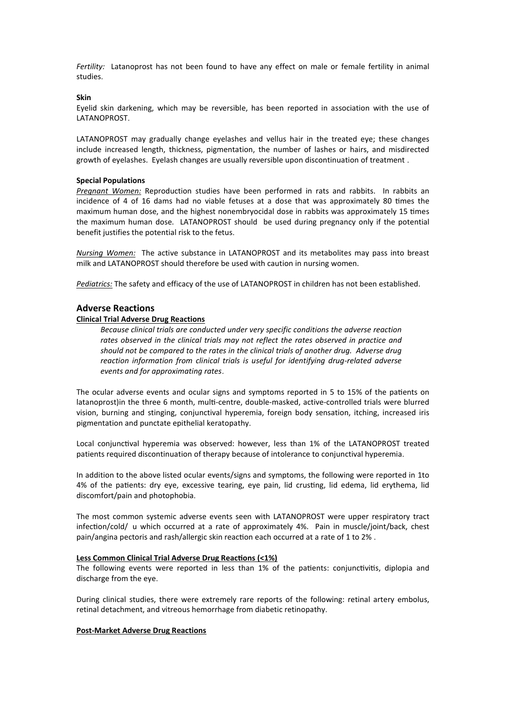*Fertility:* Latanoprost has not been found to have any effect on male or female fertility in animal studies.

### **Skin**

Eyelid skin darkening, which may be reversible, has been reported in association with the use of **LATANOPROST** 

LATANOPROST may gradually change eyelashes and vellus hair in the treated eye; these changes include increased length, thickness, pigmentation, the number of lashes or hairs, and misdirected growth of eyelashes. Eyelash changes are usually reversible upon discontinuation of treatment .

#### **Special Populations**

*Pregnant Women:* Reproduction studies have been performed in rats and rabbits. In rabbits an incidence of 4 of 16 dams had no viable fetuses at a dose that was approximately 80 times the maximum human dose, and the highest nonembryocidal dose in rabbits was approximately 15 times the maximum human dose. LATANOPROST should be used during pregnancy only if the potential benefit justifies the potential risk to the fetus.

*Nursing Women:* The active substance in LATANOPROST and its metabolites may pass into breast milk and LATANOPROST should therefore be used with caution in nursing women.

*Pediatrics:* The safety and efficacy of the use of LATANOPROST in children has not been established.

### **Adverse Reactions**

### **Clinical Trial Adverse Drug Reactions**

*Because clinical trials are conducted under very specific conditions the adverse reaction rates observed in the clinical trials may not reflect the rates observed in practice and should not be compared to the rates in the clinical trials of another drug. Adverse drug reaction information from clinical trials is useful for identifying drug-related adverse events and for approximating rates*.

The ocular adverse events and ocular signs and symptoms reported in 5 to 15% of the patients on latanoprost) in the three 6 month, multi-centre, double-masked, active-controlled trials were blurred vision, burning and stinging, conjunctival hyperemia, foreign body sensation, itching, increased iris pigmentation and punctate epithelial keratopathy.

Local conjunctival hyperemia was observed: however, less than 1% of the LATANOPROST treated patients required discontinuation of therapy because of intolerance to conjunctival hyperemia.

In addition to the above listed ocular events/signs and symptoms, the following were reported in 1to 4% of the patients: dry eye, excessive tearing, eye pain, lid crusting, lid edema, lid erythema, lid discomfort/pain and photophobia.

The most common systemic adverse events seen with LATANOPROST were upper respiratory tract infection/cold/ u which occurred at a rate of approximately 4%. Pain in muscle/ioint/back, chest pain/angina pectoris and rash/allergic skin reaction each occurred at a rate of 1 to 2%.

## **Less Common Clinical Trial Adverse Drug Reactions (<1%)**

The following events were reported in less than 1% of the patients: conjunctivitis, diplopia and discharge from the eye.

During clinical studies, there were extremely rare reports of the following: retinal artery embolus, retinal detachment, and vitreous hemorrhage from diabetic retinopathy.

#### **Post-Market Adverse Drug Reactions**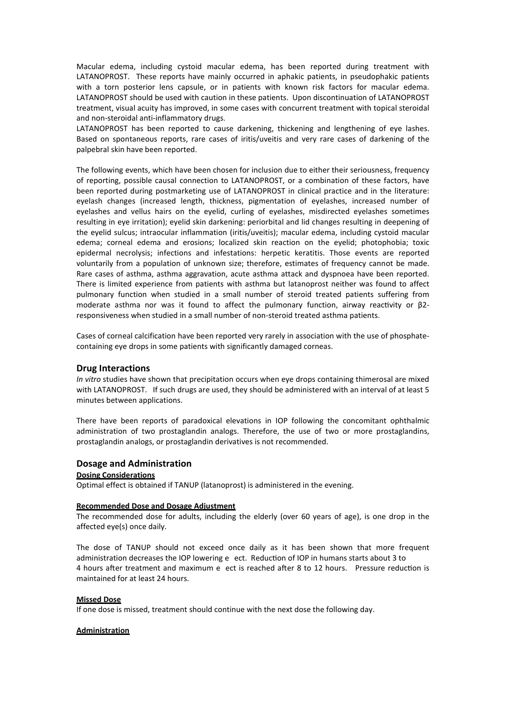Macular edema, including cystoid macular edema, has been reported during treatment with LATANOPROST. These reports have mainly occurred in aphakic patients, in pseudophakic patients with a torn posterior lens capsule, or in patients with known risk factors for macular edema. LATANOPROST should be used with caution in these patients. Upon discontinuation of LATANOPROST treatment, visual acuity has improved, in some cases with concurrent treatment with topical steroidal and non-steroidal anti-inflammatory drugs.

LATANOPROST has been reported to cause darkening, thickening and lengthening of eye lashes. Based on spontaneous reports, rare cases of iritis/uveitis and very rare cases of darkening of the palpebral skin have been reported.

The following events, which have been chosen for inclusion due to either their seriousness, frequency of reporting, possible causal connection to LATANOPROST, or a combination of these factors, have been reported during postmarketing use of LATANOPROST in clinical practice and in the literature: eyelash changes (increased length, thickness, pigmentation of eyelashes, increased number of eyelashes and vellus hairs on the eyelid, curling of eyelashes, misdirected eyelashes sometimes resulting in eye irritation); eyelid skin darkening: periorbital and lid changes resulting in deepening of the eyelid sulcus; intraocular inflammation (iritis/uveitis); macular edema, including cystoid macular edema; corneal edema and erosions; localized skin reaction on the eyelid; photophobia; toxic epidermal necrolysis; infections and infestations: herpetic keratitis. Those events are reported voluntarily from a population of unknown size; therefore, estimates of frequency cannot be made. Rare cases of asthma, asthma aggravation, acute asthma attack and dyspnoea have been reported. There is limited experience from patients with asthma but latanoprost neither was found to affect pulmonary function when studied in a small number of steroid treated patients suffering from moderate asthma nor was it found to affect the pulmonary function, airway reactivity or β2responsiveness when studied in a small number of non-steroid treated asthma patients.

Cases of corneal calcification have been reported very rarely in association with the use of phosphatecontaining eye drops in some patients with significantly damaged corneas.

# **Drug Interactions**

*In vitro* studies have shown that precipitation occurs when eye drops containing thimerosal are mixed with LATANOPROST. If such drugs are used, they should be administered with an interval of at least 5 minutes between applications.

There have been reports of paradoxical elevations in IOP following the concomitant ophthalmic administration of two prostaglandin analogs. Therefore, the use of two or more prostaglandins, prostaglandin analogs, or prostaglandin derivatives is not recommended.

### **Dosage and Administration**

### **Dosing Considerations**

Optimal effect is obtained if TANUP (latanoprost) is administered in the evening.

#### **Recommended Dose and Dosage Adjustment**

The recommended dose for adults, including the elderly (over 60 years of age), is one drop in the affected eye(s) once daily.

The dose of TANUP should not exceed once daily as it has been shown that more frequent administration decreases the IOP lowering e ect. Reduction of IOP in humans starts about 3 to 4 hours after treatment and maximum e ect is reached after 8 to 12 hours. Pressure reduction is maintained for at least 24 hours.

## **Missed Dose**

If one dose is missed, treatment should continue with the next dose the following day.

### **Administration**